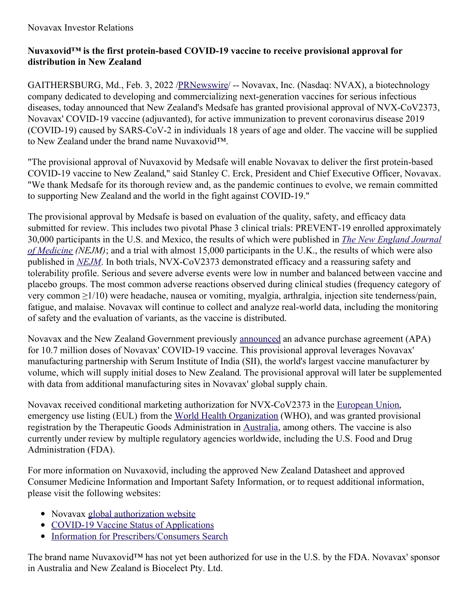# **Nuvaxovid™ is the first protein-based COVID-19 vaccine to receive provisional approval for distribution in New Zealand**

GAITHERSBURG, Md., Feb. 3, 2022 [/PRNewswire](http://www.prnewswire.com/)/ -- Novavax, Inc. (Nasdaq: NVAX), a biotechnology company dedicated to developing and commercializing next-generation vaccines for serious infectious diseases, today announced that New Zealand's Medsafe has granted provisional approval of NVX-CoV2373, Novavax' COVID-19 vaccine (adjuvanted), for active immunization to prevent coronavirus disease 2019 (COVID-19) caused by SARS-CoV-2 in individuals 18 years of age and older. The vaccine will be supplied to New Zealand under the brand name Nuvaxovid™.

"The provisional approval of Nuvaxovid by Medsafe will enable Novavax to deliver the first protein-based COVID-19 vaccine to New Zealand," said Stanley C. Erck, President and Chief Executive Officer, Novavax. "We thank Medsafe for its thorough review and, as the pandemic continues to evolve, we remain committed to supporting New Zealand and the world in the fight against COVID-19."

The provisional approval by Medsafe is based on evaluation of the quality, safety, and efficacy data submitted for review. This includes two pivotal Phase 3 clinical trials: PREVENT-19 enrolled approximately 30,000 [participants](https://c212.net/c/link/?t=0&l=en&o=3432645-1&h=2433878965&u=https%3A%2F%2Fc212.net%2Fc%2Flink%2F%3Ft%3D0%26l%3Den%26o%3D3395363-1%26h%3D1255159614%26u%3Dhttps%253A%252F%252Fwww.nejm.org%252Fdoi%252Ffull%252F10.1056%252FNEJMoa2116185%253Fquery%253Dfeatured_home%26a%3DThe%2BNew%2BEngland%2BJournal%2Bof%2BMedicine&a=The+New+England+Journal+of+Medicine) in the U.S. and Mexico, the results of which were published in *The New England Journal of Medicine (NEJM)*; and a trial with almost 15,000 participants in the U.K., the results of which were also published in *[NEJM](https://c212.net/c/link/?t=0&l=en&o=3432645-1&h=422938908&u=https%3A%2F%2Fc212.net%2Fc%2Flink%2F%3Ft%3D0%26l%3Den%26o%3D3395363-1%26h%3D589938842%26u%3Dhttps%253A%252F%252Fwww.nejm.org%252Fdoi%252Ffull%252F10.1056%252FNEJMoa2107659%26a%3DNEJM&a=NEJM)*. In both trials, NVX-CoV2373 demonstrated efficacy and a reassuring safety and tolerability profile. Serious and severe adverse events were low in number and balanced between vaccine and placebo groups. The most common adverse reactions observed during clinical studies (frequency category of very common ≥1/10) were headache, nausea or vomiting, myalgia, arthralgia, injection site tenderness/pain, fatigue, and malaise. Novavax will continue to collect and analyze real-world data, including the monitoring of safety and the evaluation of variants, as the vaccine is distributed.

Novavax and the New Zealand Government previously [announced](https://c212.net/c/link/?t=0&l=en&o=3432645-1&h=2036670988&u=https%3A%2F%2Fir.novavax.com%2F2020-12-16-Novavax-Announces-Agreement-with-Government-of-New-Zealand-for-10-7-Million-Doses-of-COVID-19-Vaccine&a=announced) an advance purchase agreement (APA) for 10.7 million doses of Novavax' COVID-19 vaccine. This provisional approval leverages Novavax' manufacturing partnership with Serum Institute of India (SII), the world's largest vaccine manufacturer by volume, which will supply initial doses to New Zealand. The provisional approval will later be supplemented with data from additional manufacturing sites in Novavax' global supply chain.

Novavax received conditional marketing authorization for NVX-CoV2373 in the [European](https://c212.net/c/link/?t=0&l=en&o=3432645-1&h=3389525956&u=https%3A%2F%2Fc212.net%2Fc%2Flink%2F%3Ft%3D0%26l%3Den%26o%3D3418278-1%26h%3D4293825725%26u%3Dhttps%253A%252F%252Fc212.net%252Fc%252Flink%252F%253Ft%253D0%2526l%253Den%2526o%253D3397167-1%2526h%253D2118831841%2526u%253Dhttps%25253A%25252F%25252Fir.novavax.com%25252F2021-12-20-European-Commission-Grants-Conditional-Marketing-Authorization-for-Novavax-COVID-19-Vaccine%2526a%253Dconditional%252Bmarketing%252Bauthorization%26a%3DEuropean%2BUnion&a=European+Union) Union, emergency use listing (EUL) from the World Health [Organization](https://c212.net/c/link/?t=0&l=en&o=3432645-1&h=2742482411&u=https%3A%2F%2Fc212.net%2Fc%2Flink%2F%3Ft%3D0%26l%3Den%26o%3D3418278-1%26h%3D3156131270%26u%3Dhttps%253A%252F%252Fir.novavax.com%252F2021-12-20-World-Health-Organization-Grants-Second-Emergency-Use-Listing-for-Novavax-COVID-19-Vaccine%26a%3DWorld%2BHealth%2BOrganization&a=World+Health+Organization) (WHO), and was granted provisional registration by the Therapeutic Goods Administration in [Australia](https://c212.net/c/link/?t=0&l=en&o=3432645-1&h=3461596166&u=https%3A%2F%2Fir.novavax.com%2F2022-01-19-Australia-Therapeutic-Goods-Administration-TGA-Grants-Provisional-Registration-for-Novavax-COVID-19-Vaccine&a=Australia), among others. The vaccine is also currently under review by multiple regulatory agencies worldwide, including the U.S. Food and Drug Administration (FDA).

For more information on Nuvaxovid, including the approved New Zealand Datasheet and approved Consumer Medicine Information and Important Safety Information, or to request additional information, please visit the following websites:

- Novavax global [authorization](https://c212.net/c/link/?t=0&l=en&o=3432645-1&h=3408202368&u=https%3A%2F%2Fwww.novavaxcovidvaccine.com%2F&a=global+authorization+website) website
- COVID-19 Vaccine Status of [Applications](https://c212.net/c/link/?t=0&l=en&o=3432645-1&h=2226689184&u=https%3A%2F%2Fnam11.safelinks.protection.outlook.com%2F%3Furl%3Dhttps%253A%252F%252Fwww.medsafe.govt.nz%252FCOVID-19%252Fstatus-of-applications.asp%2523Novavax%26data%3D04%257C01%257Cnyhubs%2540prnewswire.com%257Cc346f1ee32474e31846c08d9e69f536f%257C887bf9ee3c824b88bcb280d5e169b99b%257C1%257C0%257C637794394239812961%257CUnknown%257CTWFpbGZsb3d8eyJWIjoiMC4wLjAwMDAiLCJQIjoiV2luMzIiLCJBTiI6Ik1haWwiLCJXVCI6Mn0%253D%257C3000%26sdata%3Dc7hOVwrMO5JimQzKboM8RUrV1ogx5LbTS1hTFTQ%252B37s%253D%26reserved%3D0&a=COVID-19+Vaccine+Status+of+Applications)
- Information for [Prescribers/Consumers](https://c212.net/c/link/?t=0&l=en&o=3432645-1&h=2364611159&u=https%3A%2F%2Fnam11.safelinks.protection.outlook.com%2F%3Furl%3Dhttps%253A%252F%252Fwww.medsafe.govt.nz%252FMedicines%252FinfoSearch.asp%26data%3D04%257C01%257Cnyhubs%2540prnewswire.com%257Cc346f1ee32474e31846c08d9e69f536f%257C887bf9ee3c824b88bcb280d5e169b99b%257C1%257C0%257C637794394239822918%257CUnknown%257CTWFpbGZsb3d8eyJWIjoiMC4wLjAwMDAiLCJQIjoiV2luMzIiLCJBTiI6Ik1haWwiLCJXVCI6Mn0%253D%257C3000%26sdata%3DbGTJMCg95Zx73e1GQ85AROsLeXjw8i2Ox%252Fzm4AV%252FJl8%253D%26reserved%3D0&a=Information+for+Prescribers%2FConsumers+Search) Search

The brand name Nuvaxovid<sup>™</sup> has not yet been authorized for use in the U.S. by the FDA. Novavax' sponsor in Australia and New Zealand is Biocelect Pty. Ltd.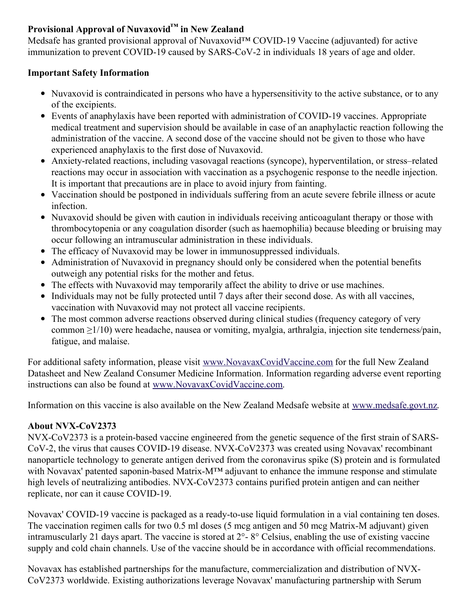# **Provisional Approval of Nuvaxovid™ in New Zealand**

Medsafe has granted provisional approval of Nuvaxovid™ COVID-19 Vaccine (adjuvanted) for active immunization to prevent COVID-19 caused by SARS-CoV-2 in individuals 18 years of age and older.

### **Important Safety Information**

- Nuvaxovid is contraindicated in persons who have a hypersensitivity to the active substance, or to any of the excipients.
- Events of anaphylaxis have been reported with administration of COVID-19 vaccines. Appropriate medical treatment and supervision should be available in case of an anaphylactic reaction following the administration of the vaccine. A second dose of the vaccine should not be given to those who have experienced anaphylaxis to the first dose of Nuvaxovid.
- Anxiety-related reactions, including vasovagal reactions (syncope), hyperventilation, or stress–related reactions may occur in association with vaccination as a psychogenic response to the needle injection. It is important that precautions are in place to avoid injury from fainting.
- Vaccination should be postponed in individuals suffering from an acute severe febrile illness or acute infection.
- Nuvaxovid should be given with caution in individuals receiving anticoagulant therapy or those with thrombocytopenia or any coagulation disorder (such as haemophilia) because bleeding or bruising may occur following an intramuscular administration in these individuals.
- The efficacy of Nuvaxovid may be lower in immunosuppressed individuals.
- Administration of Nuvaxovid in pregnancy should only be considered when the potential benefits outweigh any potential risks for the mother and fetus.
- The effects with Nuvaxovid may temporarily affect the ability to drive or use machines.
- Individuals may not be fully protected until 7 days after their second dose. As with all vaccines, vaccination with Nuvaxovid may not protect all vaccine recipients.
- The most common adverse reactions observed during clinical studies (frequency category of very common ≥1/10) were headache, nausea or vomiting, myalgia, arthralgia, injection site tenderness/pain, fatigue, and malaise.

For additional safety information, please visit [www.NovavaxCovidVaccine.com](https://c212.net/c/link/?t=0&l=en&o=3432645-1&h=1762569221&u=http%3A%2F%2Fwww.novavaxcovidvaccine.com%2F&a=www.NovavaxCovidVaccine.com) for the full New Zealand Datasheet and New Zealand Consumer Medicine Information. Information regarding adverse event reporting instructions can also be found at [www.NovavaxCovidVaccine.com](https://c212.net/c/link/?t=0&l=en&o=3432645-1&h=1762569221&u=http%3A%2F%2Fwww.novavaxcovidvaccine.com%2F&a=www.NovavaxCovidVaccine.com).

Information on this vaccine is also available on the New Zealand Medsafe website at [www.medsafe.govt.nz](https://c212.net/c/link/?t=0&l=en&o=3432645-1&h=994401793&u=http%3A%2F%2Fwww.medsafe.govt.nz%2F&a=www.medsafe.govt.nz).

# **About NVX-CoV2373**

NVX-CoV2373 is a protein-based vaccine engineered from the genetic sequence of the first strain of SARS-CoV-2, the virus that causes COVID-19 disease. NVX-CoV2373 was created using Novavax' recombinant nanoparticle technology to generate antigen derived from the coronavirus spike (S) protein and is formulated with Novavax' patented saponin-based Matrix-M™ adjuvant to enhance the immune response and stimulate high levels of neutralizing antibodies. NVX-CoV2373 contains purified protein antigen and can neither replicate, nor can it cause COVID-19.

Novavax' COVID-19 vaccine is packaged as a ready-to-use liquid formulation in a vial containing ten doses. The vaccination regimen calls for two 0.5 ml doses (5 mcg antigen and 50 mcg Matrix-M adjuvant) given intramuscularly 21 days apart. The vaccine is stored at 2°- 8° Celsius, enabling the use of existing vaccine supply and cold chain channels. Use of the vaccine should be in accordance with official recommendations.

Novavax has established partnerships for the manufacture, commercialization and distribution of NVX-CoV2373 worldwide. Existing authorizations leverage Novavax' manufacturing partnership with Serum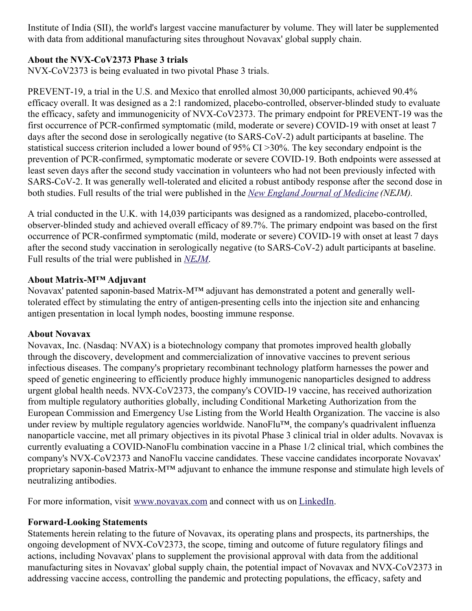Institute of India (SII), the world's largest vaccine manufacturer by volume. They will later be supplemented with data from additional manufacturing sites throughout Novavax' global supply chain.

### **About the NVX-CoV2373 Phase 3 trials**

NVX-CoV2373 is being evaluated in two pivotal Phase 3 trials.

PREVENT-19, a trial in the U.S. and Mexico that enrolled almost 30,000 participants, achieved 90.4% efficacy overall. It was designed as a 2:1 randomized, placebo-controlled, observer-blinded study to evaluate the efficacy, safety and immunogenicity of NVX-CoV2373. The primary endpoint for PREVENT-19 was the first occurrence of PCR-confirmed symptomatic (mild, moderate or severe) COVID-19 with onset at least 7 days after the second dose in serologically negative (to SARS-CoV-2) adult participants at baseline. The statistical success criterion included a lower bound of 95% CI >30%. The key secondary endpoint is the prevention of PCR-confirmed, symptomatic moderate or severe COVID-19. Both endpoints were assessed at least seven days after the second study vaccination in volunteers who had not been previously infected with SARS-CoV-2. It was generally well-tolerated and elicited a robust antibody response after the second dose in both studies. Full results of the trial were published in the *New England Journal of [Medicine](https://c212.net/c/link/?t=0&l=en&o=3432645-1&h=164167344&u=https%3A%2F%2Fwww.nejm.org%2Fdoi%2Ffull%2F10.1056%2FNEJMoa2116185%3Fquery%3Dfeatured_home&a=New+England+Journal+of+Medicine) (NEJM).*

A trial conducted in the U.K. with 14,039 participants was designed as a randomized, placebo-controlled, observer-blinded study and achieved overall efficacy of 89.7%. The primary endpoint was based on the first occurrence of PCR-confirmed symptomatic (mild, moderate or severe) COVID-19 with onset at least 7 days after the second study vaccination in serologically negative (to SARS-CoV-2) adult participants at baseline. Full results of the trial were published in *[NEJM](https://c212.net/c/link/?t=0&l=en&o=3432645-1&h=3316844790&u=https%3A%2F%2Fwww.nejm.org%2Fdoi%2Ffull%2F10.1056%2FNEJMoa2107659&a=NEJM)*.

#### **About Matrix-M™ Adjuvant**

Novavax' patented saponin-based Matrix-M™ adjuvant has demonstrated a potent and generally welltolerated effect by stimulating the entry of antigen-presenting cells into the injection site and enhancing antigen presentation in local lymph nodes, boosting immune response.

#### **About Novavax**

Novavax, Inc. (Nasdaq: NVAX) is a biotechnology company that promotes improved health globally through the discovery, development and commercialization of innovative vaccines to prevent serious infectious diseases. The company's proprietary recombinant technology platform harnesses the power and speed of genetic engineering to efficiently produce highly immunogenic nanoparticles designed to address urgent global health needs. NVX-CoV2373, the company's COVID-19 vaccine, has received authorization from multiple regulatory authorities globally, including Conditional Marketing Authorization from the European Commission and Emergency Use Listing from the World Health Organization. The vaccine is also under review by multiple regulatory agencies worldwide. NanoFlu™, the company's quadrivalent influenza nanoparticle vaccine, met all primary objectives in its pivotal Phase 3 clinical trial in older adults. Novavax is currently evaluating a COVID-NanoFlu combination vaccine in a Phase 1/2 clinical trial, which combines the company's NVX-CoV2373 and NanoFlu vaccine candidates. These vaccine candidates incorporate Novavax' proprietary saponin-based Matrix-M™ adjuvant to enhance the immune response and stimulate high levels of neutralizing antibodies.

For more information, visit [www.novavax.com](https://c212.net/c/link/?t=0&l=en&o=3432645-1&h=2438146177&u=https%3A%2F%2Fc212.net%2Fc%2Flink%2F%3Ft%3D0%26l%3Den%26o%3D3418278-1%26h%3D2301237600%26u%3Dhttps%253A%252F%252Fc212.net%252Fc%252Flink%252F%253Ft%253D0%2526l%253Den%2526o%253D3260461-1%2526h%253D2897486098%2526u%253Dhttp%25253A%25252F%25252Fwww.novavax.com%25252F%2526a%253Dwww.novavax.com%26a%3Dwww.novavax.com&a=www.novavax.com) and connect with us on [LinkedIn](https://c212.net/c/link/?t=0&l=en&o=3432645-1&h=1093126257&u=https%3A%2F%2Fc212.net%2Fc%2Flink%2F%3Ft%3D0%26l%3Den%26o%3D3418278-1%26h%3D3467374263%26u%3Dhttps%253A%252F%252Fc212.net%252Fc%252Flink%252F%253Ft%253D0%2526l%253Den%2526o%253D3260461-1%2526h%253D1508558197%2526u%253Dhttps%25253A%25252F%25252Fc212.net%25252Fc%25252Flink%25252F%25253Ft%25253D0%252526l%25253Den%252526o%25253D3158017-1%252526h%25253D3702938248%252526u%25253Dhttps%2525253A%2525252F%2525252Fwww.linkedin.com%2525252Fcompany%2525252Fnovavax%2525252F%252526a%25253DLinkedIn%2526a%253DLinkedIn%26a%3DLinkedIn&a=LinkedIn).

#### **Forward-Looking Statements**

Statements herein relating to the future of Novavax, its operating plans and prospects, its partnerships, the ongoing development of NVX-CoV2373, the scope, timing and outcome of future regulatory filings and actions, including Novavax' plans to supplement the provisional approval with data from the additional manufacturing sites in Novavax' global supply chain, the potential impact of Novavax and NVX-CoV2373 in addressing vaccine access, controlling the pandemic and protecting populations, the efficacy, safety and